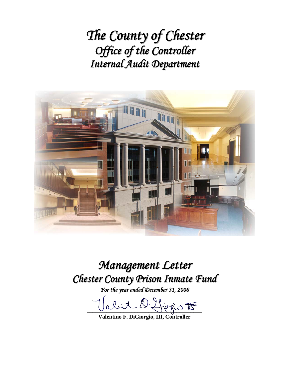*The County of Chester Office of the Controller Internal Audit Department*



# *Management Letter Chester County Prison Inmate Fund*

*For the year ended December 31, 2008*

abut D. Hirrio F

**Valentino F. DiGiorgio, III, Controller**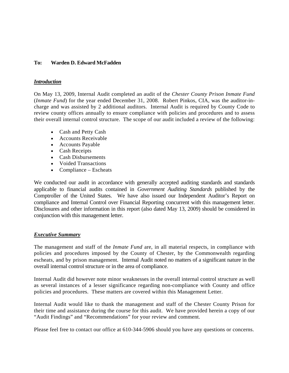#### **To: Warden D. Edward McFadden**

#### *Introduction*

On May 13, 2009, Internal Audit completed an audit of the *Chester County Prison Inmate Fund* (*Inmate Fund*) for the year ended December 31, 2008. Robert Pinkos, CIA, was the auditor-incharge and was assisted by 2 additional auditors. Internal Audit is required by County Code to review county offices annually to ensure compliance with policies and procedures and to assess their overall internal control structure. The scope of our audit included a review of the following:

- Cash and Petty Cash
- Accounts Receivable
- Accounts Payable
- Cash Receipts
- Cash Disbursements
- Voided Transactions
- Compliance Escheats

We conducted our audit in accordance with generally accepted auditing standards and standards applicable to financial audits contained in *Government Auditing Standards* published by the Comptroller of the United States. We have also issued our Independent Auditor's Report on compliance and Internal Control over Financial Reporting concurrent with this management letter. Disclosures and other information in this report (also dated May 13, 2009) should be considered in conjunction with this management letter.

## *Executive Summary*

The management and staff of the *Inmate Fund* are, in all material respects, in compliance with policies and procedures imposed by the County of Chester, by the Commonwealth regarding escheats, and by prison management. Internal Audit noted no matters of a significant nature in the overall internal control structure or in the area of compliance.

Internal Audit did however note minor weaknesses in the overall internal control structure as well as several instances of a lesser significance regarding non-compliance with County and office policies and procedures. These matters are covered within this Management Letter.

Internal Audit would like to thank the management and staff of the Chester County Prison for their time and assistance during the course for this audit. We have provided herein a copy of our "Audit Findings" and "Recommendations" for your review and comment.

Please feel free to contact our office at 610-344-5906 should you have any questions or concerns.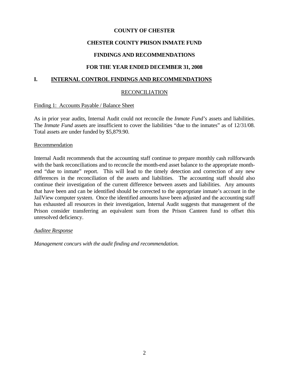## **COUNTY OF CHESTER**

## **CHESTER COUNTY PRISON INMATE FUND**

## **FINDINGS AND RECOMMENDATIONS**

## **FOR THE YEAR ENDED DECEMBER 31, 2008**

## **I. INTERNAL CONTROL FINDINGS AND RECOMMENDATIONS**

## **RECONCILIATION**

#### Finding 1: Accounts Payable / Balance Sheet

As in prior year audits, Internal Audit could not reconcile the *Inmate Fund's* assets and liabilities. The *Inmate Fund* assets are insufficient to cover the liabilities "due to the inmates" as of  $12/31/08$ . Total assets are under funded by \$5,879.90.

#### Recommendation

Internal Audit recommends that the accounting staff continue to prepare monthly cash rollforwards with the bank reconciliations and to reconcile the month-end asset balance to the appropriate monthend "due to inmate" report. This will lead to the timely detection and correction of any new differences in the reconciliation of the assets and liabilities. The accounting staff should also continue their investigation of the current difference between assets and liabilities. Any amounts that have been and can be identified should be corrected to the appropriate inmate's account in the JailView computer system. Once the identified amounts have been adjusted and the accounting staff has exhausted all resources in their investigation, Internal Audit suggests that management of the Prison consider transferring an equivalent sum from the Prison Canteen fund to offset this unresolved deficiency.

## *Auditee Response*

*Management concurs with the audit finding and recommendation.*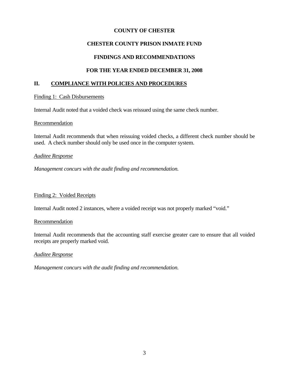## **COUNTY OF CHESTER**

## **CHESTER COUNTY PRISON INMATE FUND**

## **FINDINGS AND RECOMMENDATIONS**

## **FOR THE YEAR ENDED DECEMBER 31, 2008**

## **II. COMPLIANCE WITH POLICIES AND PROCEDURES**

#### Finding 1: Cash Disbursements

Internal Audit noted that a voided check was reissued using the same check number.

#### Recommendation

Internal Audit recommends that when reissuing voided checks, a different check number should be used. A check number should only be used once in the computer system.

#### *Auditee Response*

*Management concurs with the audit finding and recommendation.* 

## Finding 2: Voided Receipts

Internal Audit noted 2 instances, where a voided receipt was not properly marked "void."

#### **Recommendation**

Internal Audit recommends that the accounting staff exercise greater care to ensure that all voided receipts are properly marked void.

## *Auditee Response*

*Management concurs with the audit finding and recommendation.*